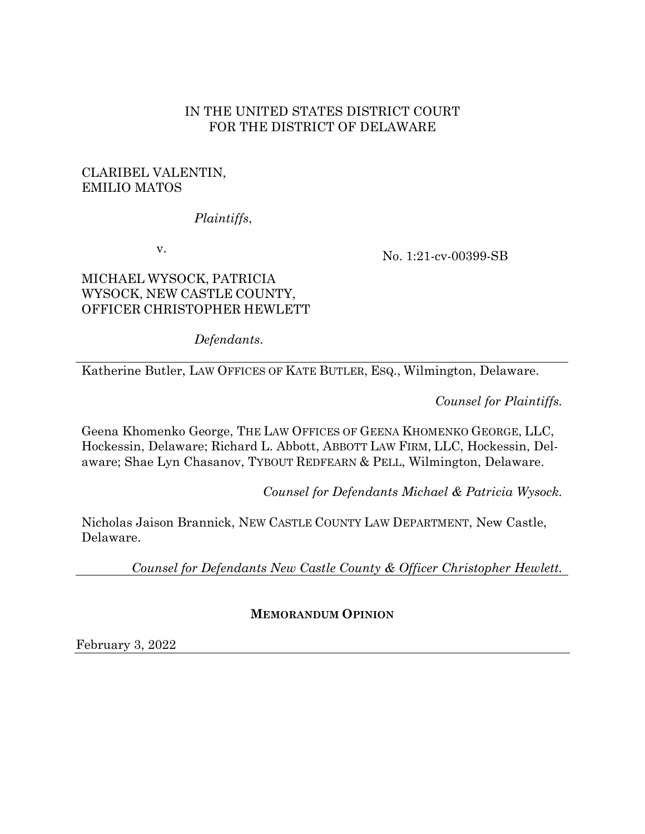# IN THE UNITED STATES DISTRICT COURT FOR THE DISTRICT OF DELAWARE

# CLARIBEL VALENTIN, EMILIO MATOS

# *Plaintiffs*,

v.

No. 1:21-cv-00399-SB

# MICHAEL WYSOCK, PATRICIA WYSOCK, NEW CASTLE COUNTY, OFFICER CHRISTOPHER HEWLETT

*Defendants*.

Katherine Butler, LAW OFFICES OF KATE BUTLER, ESQ., Wilmington, Delaware.

*Counsel for Plaintiffs.*

Geena Khomenko George, THE LAW OFFICES OF GEENA KHOMENKO GEORGE, LLC, Hockessin, Delaware; Richard L. Abbott, ABBOTT LAW FIRM, LLC, Hockessin, Delaware; Shae Lyn Chasanov, TYBOUT REDFEARN & PELL, Wilmington, Delaware.

*Counsel for Defendants Michael & Patricia Wysock.*

Nicholas Jaison Brannick, NEW CASTLE COUNTY LAW DEPARTMENT, New Castle, Delaware.

*Counsel for Defendants New Castle County & Officer Christopher Hewlett.*

**MEMORANDUM OPINION**

February 3, 2022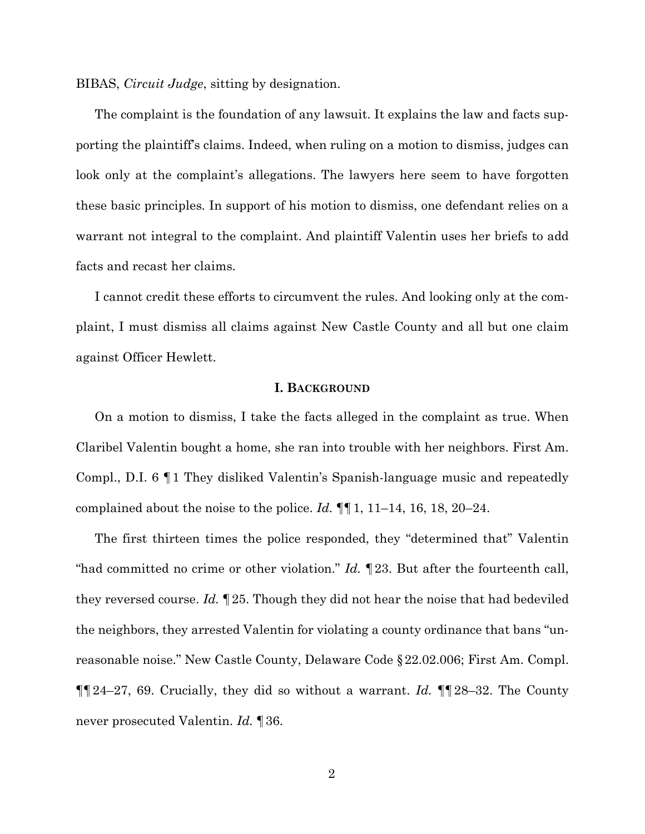BIBAS, *Circuit Judge*, sitting by designation.

The complaint is the foundation of any lawsuit. It explains the law and facts supporting the plaintiff's claims. Indeed, when ruling on a motion to dismiss, judges can look only at the complaint's allegations. The lawyers here seem to have forgotten these basic principles. In support of his motion to dismiss, one defendant relies on a warrant not integral to the complaint. And plaintiff Valentin uses her briefs to add facts and recast her claims.

I cannot credit these efforts to circumvent the rules. And looking only at the complaint, I must dismiss all claims against New Castle County and all but one claim against Officer Hewlett.

## **I. BACKGROUND**

On a motion to dismiss, I take the facts alleged in the complaint as true. When Claribel Valentin bought a home, she ran into trouble with her neighbors. First Am. Compl., D.I. 6 ¶1 They disliked Valentin's Spanish-language music and repeatedly complained about the noise to the police. *Id.* ¶¶1, 11–14, 16, 18, 20–24.

The first thirteen times the police responded, they "determined that" Valentin "had committed no crime or other violation." *Id.* ¶23. But after the fourteenth call, they reversed course. *Id.* ¶25. Though they did not hear the noise that had bedeviled the neighbors, they arrested Valentin for violating a county ordinance that bans "unreasonable noise." New Castle County, Delaware Code §22.02.006; First Am. Compl. ¶¶24–27, 69. Crucially, they did so without a warrant. *Id.* ¶¶28–32. The County never prosecuted Valentin. *Id.* ¶36.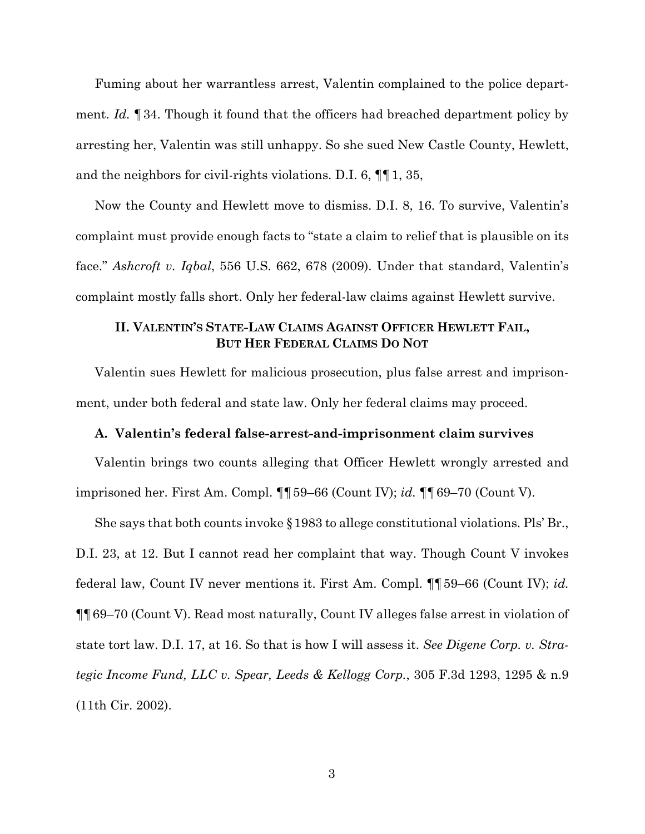Fuming about her warrantless arrest, Valentin complained to the police department. *Id.* ¶34. Though it found that the officers had breached department policy by arresting her, Valentin was still unhappy. So she sued New Castle County, Hewlett, and the neighbors for civil-rights violations. D.I. 6, ¶¶1, 35,

Now the County and Hewlett move to dismiss. D.I. 8, 16. To survive, Valentin's complaint must provide enough facts to "state a claim to relief that is plausible on its face." *Ashcroft v. Iqbal*, 556 U.S. 662, 678 (2009). Under that standard, Valentin's complaint mostly falls short. Only her federal-law claims against Hewlett survive.

## **II. VALENTIN'S STATE-LAW CLAIMS AGAINST OFFICER HEWLETT FAIL, BUT HER FEDERAL CLAIMS DO NOT**

Valentin sues Hewlett for malicious prosecution, plus false arrest and imprisonment, under both federal and state law. Only her federal claims may proceed.

## **A. Valentin's federal false-arrest-and-imprisonment claim survives**

Valentin brings two counts alleging that Officer Hewlett wrongly arrested and imprisoned her. First Am. Compl. ¶¶59–66 (Count IV); *id.* ¶¶69–70 (Count V).

She says that both counts invoke §1983 to allege constitutional violations. Pls' Br., D.I. 23, at 12. But I cannot read her complaint that way. Though Count V invokes federal law, Count IV never mentions it. First Am. Compl. ¶¶59–66 (Count IV); *id.* ¶¶69–70 (Count V). Read most naturally, Count IV alleges false arrest in violation of state tort law. D.I. 17, at 16. So that is how I will assess it. *See Digene Corp. v. Strategic Income Fund, LLC v. Spear, Leeds & Kellogg Corp.*, 305 F.3d 1293, 1295 & n.9 (11th Cir. 2002).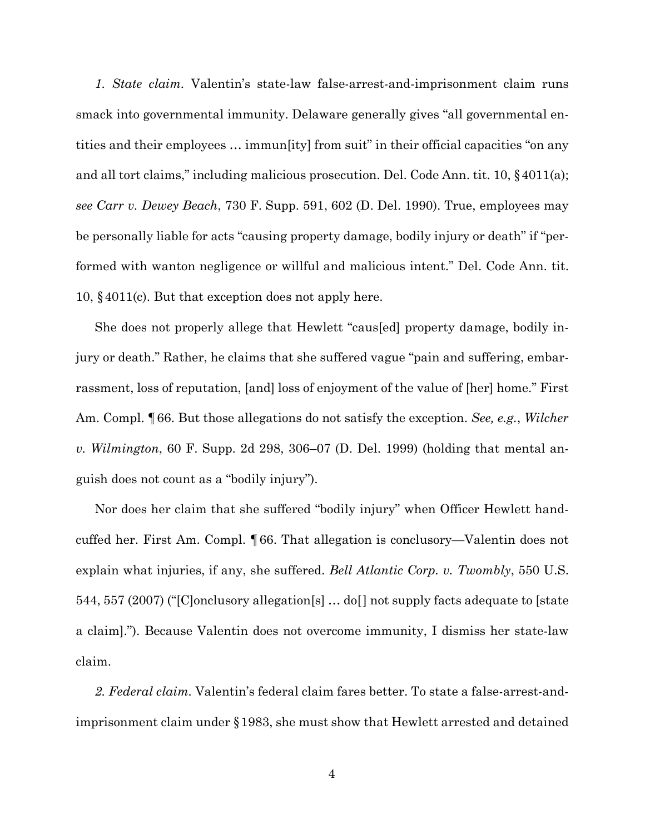*1. State claim.* Valentin's state-law false-arrest-and-imprisonment claim runs smack into governmental immunity. Delaware generally gives "all governmental entities and their employees … immun[ity] from suit" in their official capacities "on any and all tort claims," including malicious prosecution. Del. Code Ann. tit. 10,  $\S 4011(a)$ ; *see Carr v. Dewey Beach*, 730 F. Supp. 591, 602 (D. Del. 1990). True, employees may be personally liable for acts "causing property damage, bodily injury or death" if "performed with wanton negligence or willful and malicious intent." Del. Code Ann. tit. 10, §4011(c). But that exception does not apply here.

She does not properly allege that Hewlett "caus[ed] property damage, bodily injury or death." Rather, he claims that she suffered vague "pain and suffering, embarrassment, loss of reputation, [and] loss of enjoyment of the value of [her] home." First Am. Compl. ¶66. But those allegations do not satisfy the exception. *See, e.g.*, *Wilcher v. Wilmington*, 60 F. Supp. 2d 298, 306–07 (D. Del. 1999) (holding that mental anguish does not count as a "bodily injury").

Nor does her claim that she suffered "bodily injury" when Officer Hewlett handcuffed her. First Am. Compl. ¶66. That allegation is conclusory—Valentin does not explain what injuries, if any, she suffered. *Bell Atlantic Corp. v. Twombly*, 550 U.S. 544, 557 (2007) ("[C]onclusory allegation[s] … do[] not supply facts adequate to [state a claim]."). Because Valentin does not overcome immunity, I dismiss her state-law claim.

*2. Federal claim.* Valentin's federal claim fares better. To state a false-arrest-andimprisonment claim under §1983, she must show that Hewlett arrested and detained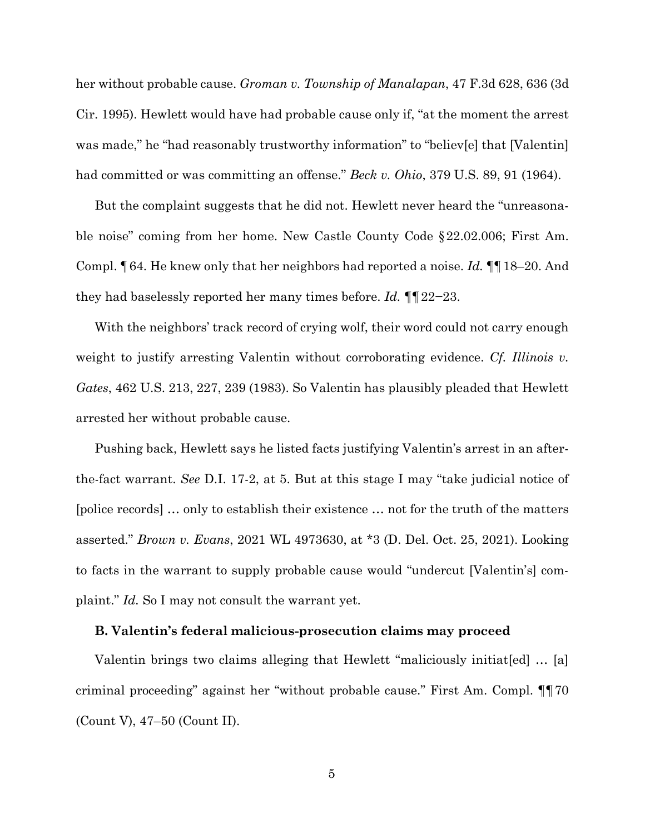her without probable cause. *Groman v. Township of Manalapan*, 47 F.3d 628, 636 (3d Cir. 1995). Hewlett would have had probable cause only if, "at the moment the arrest was made," he "had reasonably trustworthy information" to "believ[e] that [Valentin] had committed or was committing an offense." *Beck v. Ohio*, 379 U.S. 89, 91 (1964).

But the complaint suggests that he did not. Hewlett never heard the "unreasonable noise" coming from her home. New Castle County Code §22.02.006; First Am. Compl. ¶64. He knew only that her neighbors had reported a noise. *Id.* ¶¶18–20. And they had baselessly reported her many times before. *Id.* ¶¶22−23.

With the neighbors' track record of crying wolf, their word could not carry enough weight to justify arresting Valentin without corroborating evidence. *Cf. Illinois v. Gates*, 462 U.S. 213, 227, 239 (1983). So Valentin has plausibly pleaded that Hewlett arrested her without probable cause.

Pushing back, Hewlett says he listed facts justifying Valentin's arrest in an afterthe-fact warrant. *See* D.I. 17-2, at 5. But at this stage I may "take judicial notice of [police records] … only to establish their existence … not for the truth of the matters asserted." *Brown v. Evans*, 2021 WL 4973630, at \*3 (D. Del. Oct. 25, 2021). Looking to facts in the warrant to supply probable cause would "undercut [Valentin's] complaint." *Id.* So I may not consult the warrant yet.

## **B. Valentin's federal malicious-prosecution claims may proceed**

Valentin brings two claims alleging that Hewlett "maliciously initiat[ed] … [a] criminal proceeding" against her "without probable cause." First Am. Compl. ¶¶70 (Count V), 47–50 (Count II).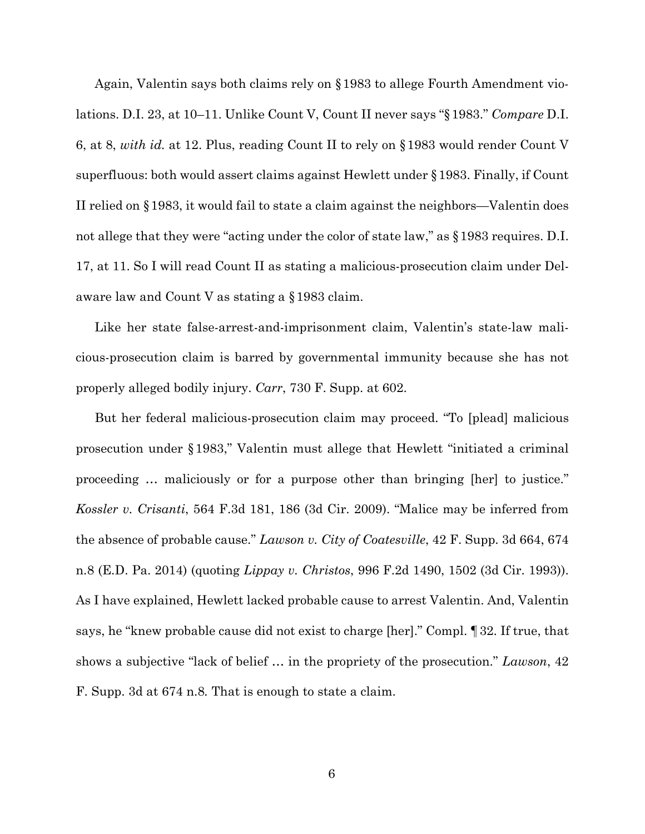Again, Valentin says both claims rely on §1983 to allege Fourth Amendment violations. D.I. 23, at 10–11. Unlike Count V, Count II never says "§1983." *Compare* D.I. 6, at 8, *with id.* at 12. Plus, reading Count II to rely on §1983 would render Count V superfluous: both would assert claims against Hewlett under §1983. Finally, if Count II relied on §1983, it would fail to state a claim against the neighbors—Valentin does not allege that they were "acting under the color of state law," as  $\S 1983$  requires. D.I. 17, at 11. So I will read Count II as stating a malicious-prosecution claim under Delaware law and Count V as stating a §1983 claim.

Like her state false-arrest-and-imprisonment claim, Valentin's state-law malicious-prosecution claim is barred by governmental immunity because she has not properly alleged bodily injury. *Carr*, 730 F. Supp. at 602.

But her federal malicious-prosecution claim may proceed. "To [plead] malicious prosecution under §1983," Valentin must allege that Hewlett "initiated a criminal proceeding … maliciously or for a purpose other than bringing [her] to justice." *Kossler v. Crisanti*, 564 F.3d 181, 186 (3d Cir. 2009). "Malice may be inferred from the absence of probable cause." *Lawson v. City of Coatesville*, 42 F. Supp. 3d 664, 674 n.8 (E.D. Pa. 2014) (quoting *Lippay v. Christos*, 996 F.2d 1490, 1502 (3d Cir. 1993)). As I have explained, Hewlett lacked probable cause to arrest Valentin. And, Valentin says, he "knew probable cause did not exist to charge [her]." Compl. ¶32. If true, that shows a subjective "lack of belief … in the propriety of the prosecution." *Lawson*, 42 F. Supp. 3d at 674 n.8*.* That is enough to state a claim.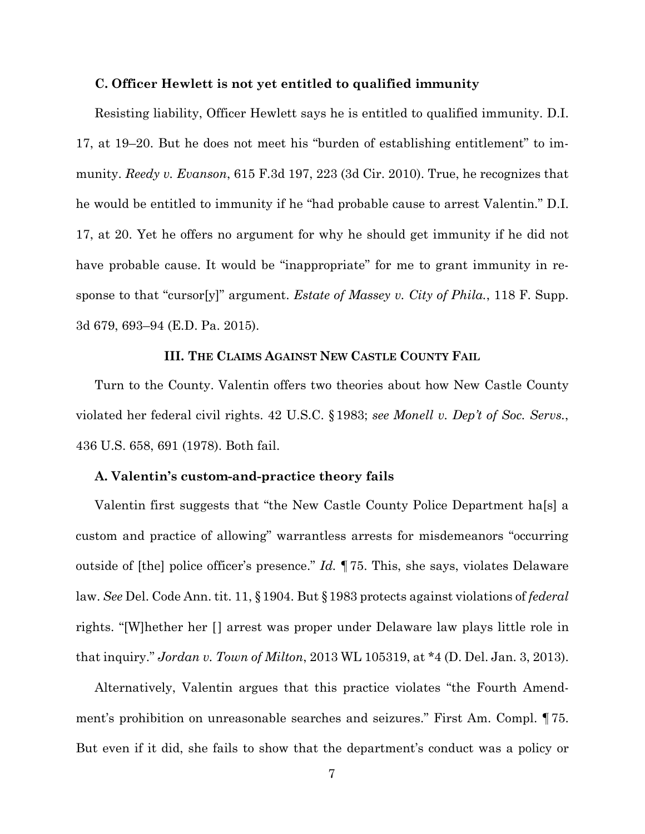#### **C. Officer Hewlett is not yet entitled to qualified immunity**

Resisting liability, Officer Hewlett says he is entitled to qualified immunity. D.I. 17, at 19–20. But he does not meet his "burden of establishing entitlement" to immunity. *Reedy v. Evanson*, 615 F.3d 197, 223 (3d Cir. 2010). True, he recognizes that he would be entitled to immunity if he "had probable cause to arrest Valentin." D.I. 17, at 20. Yet he offers no argument for why he should get immunity if he did not have probable cause. It would be "inappropriate" for me to grant immunity in response to that "cursor[y]" argument. *Estate of Massey v. City of Phila.*, 118 F. Supp. 3d 679, 693–94 (E.D. Pa. 2015).

## **III. THE CLAIMS AGAINST NEW CASTLE COUNTY FAIL**

Turn to the County. Valentin offers two theories about how New Castle County violated her federal civil rights. 42 U.S.C. §1983; *see Monell v. Dep't of Soc. Servs.*, 436 U.S. 658, 691 (1978). Both fail.

## **A. Valentin's custom-and-practice theory fails**

Valentin first suggests that "the New Castle County Police Department ha[s] a custom and practice of allowing" warrantless arrests for misdemeanors "occurring outside of [the] police officer's presence." *Id.* ¶75. This, she says, violates Delaware law. *See* Del. Code Ann. tit. 11, §1904. But §1983 protects against violations of *federal*  rights. "[W]hether her [] arrest was proper under Delaware law plays little role in that inquiry." *Jordan v. Town of Milton*, 2013 WL 105319, at \*4 (D. Del. Jan. 3, 2013).

Alternatively, Valentin argues that this practice violates "the Fourth Amendment's prohibition on unreasonable searches and seizures." First Am. Compl. ¶75. But even if it did, she fails to show that the department's conduct was a policy or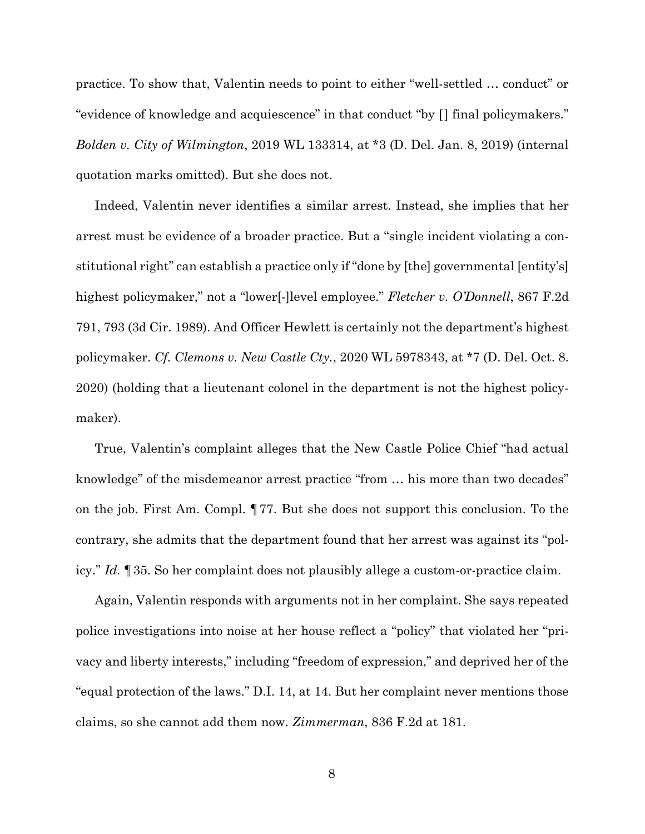practice. To show that, Valentin needs to point to either "well-settled … conduct" or "evidence of knowledge and acquiescence" in that conduct "by [] final policymakers." *Bolden v. City of Wilmington*, 2019 WL 133314, at \*3 (D. Del. Jan. 8, 2019) (internal quotation marks omitted). But she does not.

Indeed, Valentin never identifies a similar arrest. Instead, she implies that her arrest must be evidence of a broader practice. But a "single incident violating a constitutional right" can establish a practice only if "done by [the] governmental [entity's] highest policymaker," not a "lower[-]level employee." *Fletcher v. O'Donnell*, 867 F.2d 791, 793 (3d Cir. 1989). And Officer Hewlett is certainly not the department's highest policymaker. *Cf. Clemons v. New Castle Cty.*, 2020 WL 5978343, at \*7 (D. Del. Oct. 8. 2020) (holding that a lieutenant colonel in the department is not the highest policymaker).

True, Valentin's complaint alleges that the New Castle Police Chief "had actual knowledge" of the misdemeanor arrest practice "from … his more than two decades" on the job. First Am. Compl. ¶77. But she does not support this conclusion. To the contrary, she admits that the department found that her arrest was against its "policy." *Id.* ¶35. So her complaint does not plausibly allege a custom-or-practice claim.

Again, Valentin responds with arguments not in her complaint. She says repeated police investigations into noise at her house reflect a "policy" that violated her "privacy and liberty interests," including "freedom of expression," and deprived her of the "equal protection of the laws." D.I. 14, at 14. But her complaint never mentions those claims, so she cannot add them now. *Zimmerman*, 836 F.2d at 181.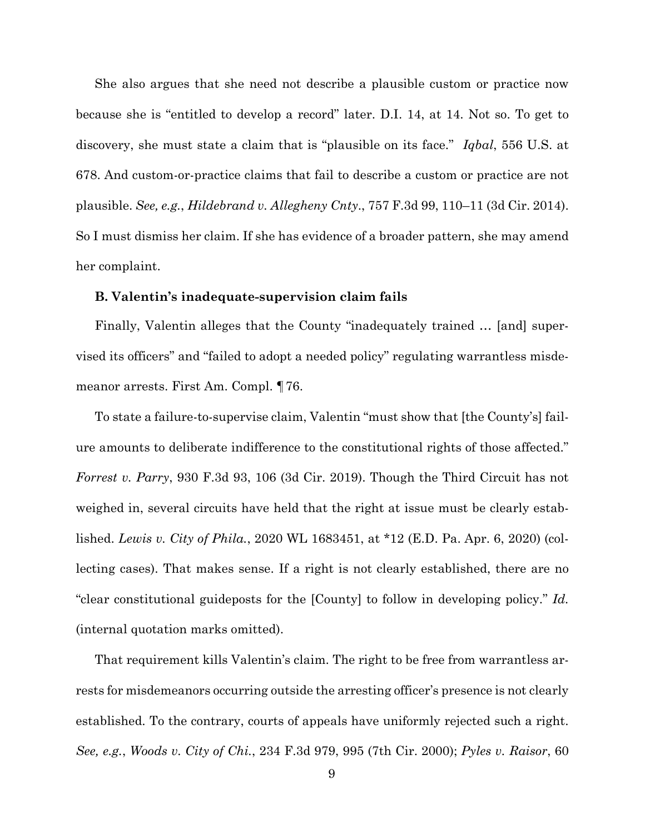She also argues that she need not describe a plausible custom or practice now because she is "entitled to develop a record" later. D.I. 14, at 14. Not so. To get to discovery, she must state a claim that is "plausible on its face." *Iqbal*, 556 U.S. at 678. And custom-or-practice claims that fail to describe a custom or practice are not plausible. *See, e.g.*, *Hildebrand v. Allegheny Cnty*., 757 F.3d 99, 110–11 (3d Cir. 2014). So I must dismiss her claim. If she has evidence of a broader pattern, she may amend her complaint.

## **B. Valentin's inadequate-supervision claim fails**

Finally, Valentin alleges that the County "inadequately trained … [and] supervised its officers" and "failed to adopt a needed policy" regulating warrantless misdemeanor arrests. First Am. Compl. ¶76.

To state a failure-to-supervise claim, Valentin "must show that [the County's] failure amounts to deliberate indifference to the constitutional rights of those affected." *Forrest v. Parry*, 930 F.3d 93, 106 (3d Cir. 2019). Though the Third Circuit has not weighed in, several circuits have held that the right at issue must be clearly established. *Lewis v. City of Phila.*, 2020 WL 1683451, at \*12 (E.D. Pa. Apr. 6, 2020) (collecting cases). That makes sense. If a right is not clearly established, there are no "clear constitutional guideposts for the [County] to follow in developing policy." *Id.* (internal quotation marks omitted).

That requirement kills Valentin's claim. The right to be free from warrantless arrests for misdemeanors occurring outside the arresting officer's presence is not clearly established. To the contrary, courts of appeals have uniformly rejected such a right. *See, e.g.*, *Woods v. City of Chi.*, 234 F.3d 979, 995 (7th Cir. 2000); *Pyles v. Raisor*, 60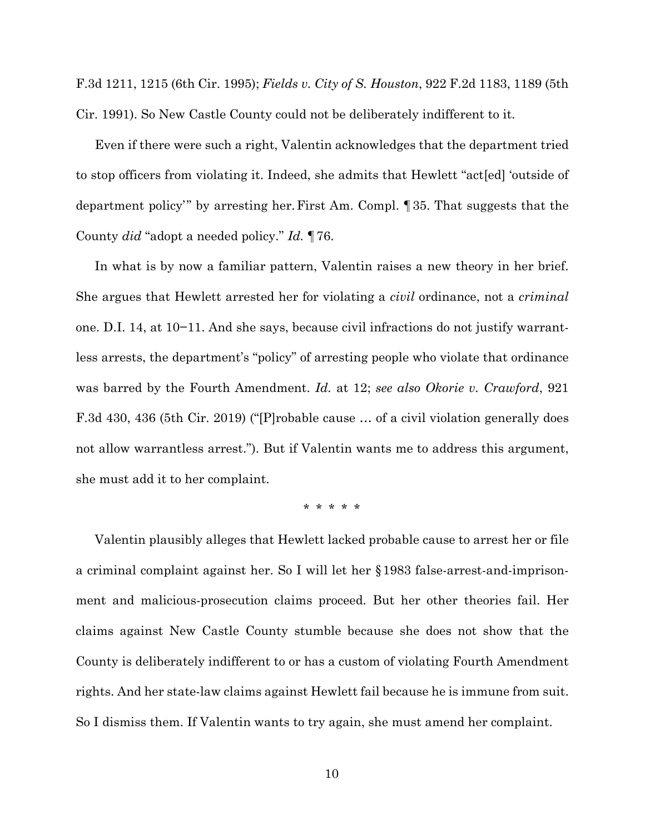F.3d 1211, 1215 (6th Cir. 1995); *Fields v. City of S. Houston*, 922 F.2d 1183, 1189 (5th Cir. 1991). So New Castle County could not be deliberately indifferent to it.

Even if there were such a right, Valentin acknowledges that the department tried to stop officers from violating it. Indeed, she admits that Hewlett "act[ed] 'outside of department policy'" by arresting her.First Am. Compl. ¶35. That suggests that the County *did* "adopt a needed policy." *Id.* ¶76.

In what is by now a familiar pattern, Valentin raises a new theory in her brief. She argues that Hewlett arrested her for violating a *civil* ordinance, not a *criminal*  one. D.I. 14, at 10−11. And she says, because civil infractions do not justify warrantless arrests, the department's "policy" of arresting people who violate that ordinance was barred by the Fourth Amendment. *Id.* at 12; *see also Okorie v. Crawford*, 921 F.3d 430, 436 (5th Cir. 2019) ("[P]robable cause … of a civil violation generally does not allow warrantless arrest."). But if Valentin wants me to address this argument, she must add it to her complaint.

\* \* \* \* \*

Valentin plausibly alleges that Hewlett lacked probable cause to arrest her or file a criminal complaint against her. So I will let her §1983 false-arrest-and-imprisonment and malicious-prosecution claims proceed. But her other theories fail. Her claims against New Castle County stumble because she does not show that the County is deliberately indifferent to or has a custom of violating Fourth Amendment rights. And her state-law claims against Hewlett fail because he is immune from suit. So I dismiss them. If Valentin wants to try again, she must amend her complaint.